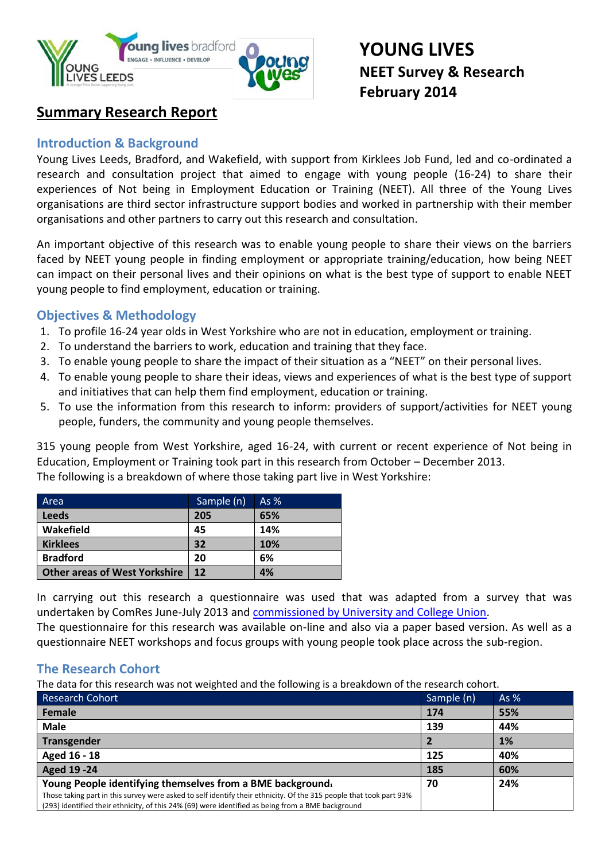

# **YOUNG LIVES NEET Survey & Research February 2014**

# **Summary Research Report**

## **Introduction & Background**

Young Lives Leeds, Bradford, and Wakefield, with support from Kirklees Job Fund, led and co-ordinated a research and consultation project that aimed to engage with young people (16-24) to share their experiences of Not being in Employment Education or Training (NEET). All three of the Young Lives organisations are third sector infrastructure support bodies and worked in partnership with their member organisations and other partners to carry out this research and consultation.

An important objective of this research was to enable young people to share their views on the barriers faced by NEET young people in finding employment or appropriate training/education, how being NEET can impact on their personal lives and their opinions on what is the best type of support to enable NEET young people to find employment, education or training.

## **Objectives & Methodology**

- 1. To profile 16-24 year olds in West Yorkshire who are not in education, employment or training.
- 2. To understand the barriers to work, education and training that they face.
- 3. To enable young people to share the impact of their situation as a "NEET" on their personal lives.
- 4. To enable young people to share their ideas, views and experiences of what is the best type of support and initiatives that can help them find employment, education or training.
- 5. To use the information from this research to inform: providers of support/activities for NEET young people, funders, the community and young people themselves.

315 young people from West Yorkshire, aged 16-24, with current or recent experience of Not being in Education, Employment or Training took part in this research from October – December 2013. The following is a breakdown of where those taking part live in West Yorkshire:

| Area                                 | Sample (n) | As $%$ |
|--------------------------------------|------------|--------|
| <b>Leeds</b>                         | 205        | 65%    |
| Wakefield                            | 45         | 14%    |
| <b>Kirklees</b>                      | 32         | 10%    |
| <b>Bradford</b>                      | 20         | 6%     |
| <b>Other areas of West Yorkshire</b> | 12         | 4%     |

In carrying out this research a questionnaire was used that was adapted from a survey that was undertaken by ComRes June-July 2013 and [commissioned by University and College Union.](http://www.knowledgeeconomy.org.uk/files/2013/07/NEETs-final.docx)

The questionnaire for this research was available on-line and also via a paper based version. As well as a questionnaire NEET workshops and focus groups with young people took place across the sub-region.

# **The Research Cohort**

The data for this research was not weighted and the following is a breakdown of the research cohort.

| <b>Research Cohort</b>                                                                                                                                                                                                  | Sample (n) | As $%$ |
|-------------------------------------------------------------------------------------------------------------------------------------------------------------------------------------------------------------------------|------------|--------|
| Female                                                                                                                                                                                                                  | 174        | 55%    |
| <b>Male</b>                                                                                                                                                                                                             | 139        | 44%    |
| Transgender                                                                                                                                                                                                             |            | 1%     |
| Aged 16 - 18                                                                                                                                                                                                            | 125        | 40%    |
| Aged 19 - 24                                                                                                                                                                                                            | 185        | 60%    |
| Young People identifying themselves from a BME background.                                                                                                                                                              | 70         | 24%    |
| Those taking part in this survey were asked to self identify their ethnicity. Of the 315 people that took part 93%<br>(293) identified their ethnicity, of this 24% (69) were identified as being from a BME background |            |        |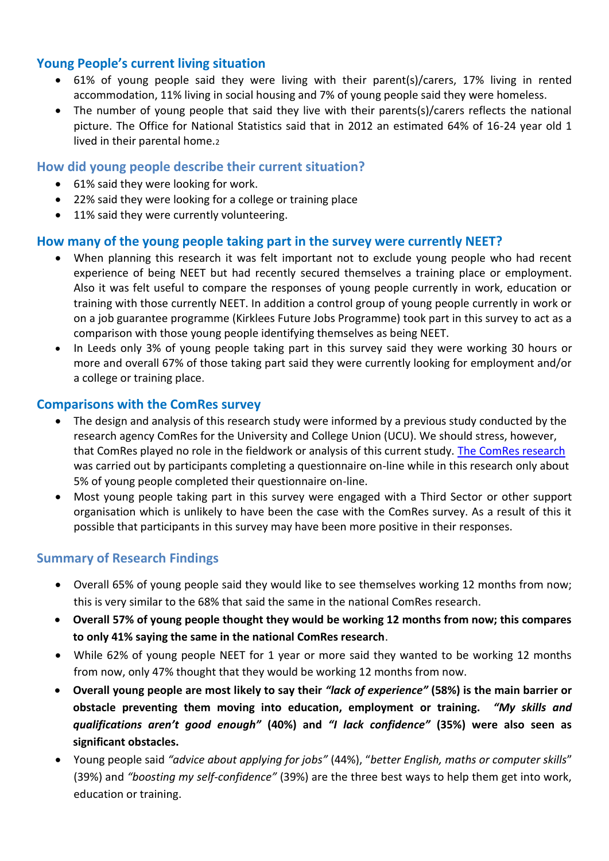## **Young People's current living situation**

- 61% of young people said they were living with their parent(s)/carers, 17% living in rented accommodation, 11% living in social housing and 7% of young people said they were homeless.
- The number of young people that said they live with their parents(s)/carers reflects the national picture. The Office for National Statistics said that in 2012 an estimated 64% of 16-24 year old 1 lived in their parental home.<sup>2</sup>

#### **How did young people describe their current situation?**

- 61% said they were looking for work.
- 22% said they were looking for a college or training place
- 11% said they were currently volunteering.

## **How many of the young people taking part in the survey were currently NEET?**

- When planning this research it was felt important not to exclude young people who had recent experience of being NEET but had recently secured themselves a training place or employment. Also it was felt useful to compare the responses of young people currently in work, education or training with those currently NEET. In addition a control group of young people currently in work or on a job guarantee programme (Kirklees Future Jobs Programme) took part in this survey to act as a comparison with those young people identifying themselves as being NEET.
- In Leeds only 3% of young people taking part in this survey said they were working 30 hours or more and overall 67% of those taking part said they were currently looking for employment and/or a college or training place.

#### **Comparisons with the ComRes survey**

- The design and analysis of this research study were informed by a previous study conducted by the research agency ComRes for the University and College Union (UCU). We should stress, however, that ComRes played no role in the fieldwork or analysis of this current study. The [ComRes research](http://www.comres.co.uk/poll/963/ucu-neets-survey.htm) was carried out by participants completing a questionnaire on-line while in this research only about 5% of young people completed their questionnaire on-line.
- Most young people taking part in this survey were engaged with a Third Sector or other support organisation which is unlikely to have been the case with the ComRes survey. As a result of this it possible that participants in this survey may have been more positive in their responses.

## **Summary of Research Findings**

- Overall 65% of young people said they would like to see themselves working 12 months from now; this is very similar to the 68% that said the same in the national ComRes research.
- **Overall 57% of young people thought they would be working 12 months from now; this compares to only 41% saying the same in the national ComRes research**.
- While 62% of young people NEET for 1 year or more said they wanted to be working 12 months from now, only 47% thought that they would be working 12 months from now.
- **Overall young people are most likely to say their** *"lack of experience"* **(58%) is the main barrier or obstacle preventing them moving into education, employment or training.** *"My skills and qualifications aren't good enough"* **(40%) and** *"I lack confidence"* **(35%) were also seen as significant obstacles.**
- Young people said *"advice about applying for jobs"* (44%), "*better English, maths or computer skills*" (39%) and *"boosting my self-confidence"* (39%) are the three best ways to help them get into work, education or training.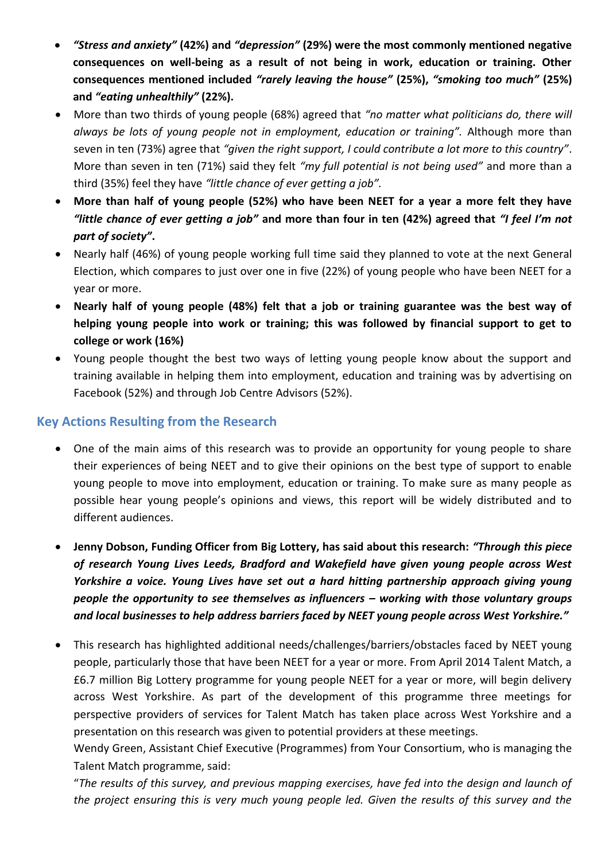- *"Stress and anxiety"* **(42%) and** *"depression"* **(29%) were the most commonly mentioned negative consequences on well-being as a result of not being in work, education or training. Other consequences mentioned included** *"rarely leaving the house"* **(25%),** *"smoking too much"* **(25%) and** *"eating unhealthily"* **(22%).**
- More than two thirds of young people (68%) agreed that *"no matter what politicians do, there will always be lots of young people not in employment, education or training".* Although more than seven in ten (73%) agree that *"given the right support, I could contribute a lot more to this country"*. More than seven in ten (71%) said they felt *"my full potential is not being used"* and more than a third (35%) feel they have *"little chance of ever getting a job".*
- **More than half of young people (52%) who have been NEET for a year a more felt they have**  *"little chance of ever getting a job"* **and more than four in ten (42%) agreed that** *"I feel I'm not part of society"***.**
- Nearly half (46%) of young people working full time said they planned to vote at the next General Election, which compares to just over one in five (22%) of young people who have been NEET for a year or more.
- **Nearly half of young people (48%) felt that a job or training guarantee was the best way of helping young people into work or training; this was followed by financial support to get to college or work (16%)**
- Young people thought the best two ways of letting young people know about the support and training available in helping them into employment, education and training was by advertising on Facebook (52%) and through Job Centre Advisors (52%).

# **Key Actions Resulting from the Research**

- One of the main aims of this research was to provide an opportunity for young people to share their experiences of being NEET and to give their opinions on the best type of support to enable young people to move into employment, education or training. To make sure as many people as possible hear young people's opinions and views, this report will be widely distributed and to different audiences.
- **Jenny Dobson, Funding Officer from Big Lottery, has said about this research:** *"Through this piece of research Young Lives Leeds, Bradford and Wakefield have given young people across West Yorkshire a voice. Young Lives have set out a hard hitting partnership approach giving young people the opportunity to see themselves as influencers – working with those voluntary groups and local businesses to help address barriers faced by NEET young people across West Yorkshire."*
- This research has highlighted additional needs/challenges/barriers/obstacles faced by NEET young people, particularly those that have been NEET for a year or more. From April 2014 Talent Match, a £6.7 million Big Lottery programme for young people NEET for a year or more, will begin delivery across West Yorkshire. As part of the development of this programme three meetings for perspective providers of services for Talent Match has taken place across West Yorkshire and a presentation on this research was given to potential providers at these meetings.

Wendy Green, Assistant Chief Executive (Programmes) from Your Consortium, who is managing the Talent Match programme, said:

"*The results of this survey, and previous mapping exercises, have fed into the design and launch of the project ensuring this is very much young people led. Given the results of this survey and the*